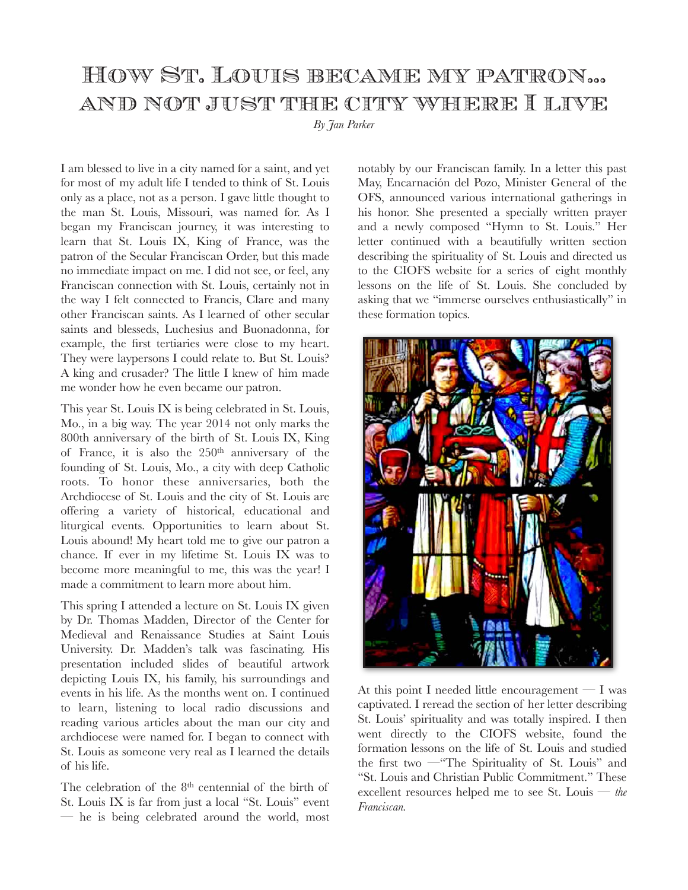# How St. Louis became my patron… and not just the city where I live

*By Jan Parker* 

I am blessed to live in a city named for a saint, and yet for most of my adult life I tended to think of St. Louis only as a place, not as a person. I gave little thought to the man St. Louis, Missouri, was named for. As I began my Franciscan journey, it was interesting to learn that St. Louis IX, King of France, was the patron of the Secular Franciscan Order, but this made no immediate impact on me. I did not see, or feel, any Franciscan connection with St. Louis, certainly not in the way I felt connected to Francis, Clare and many other Franciscan saints. As I learned of other secular saints and blesseds, Luchesius and Buonadonna, for example, the first tertiaries were close to my heart. They were laypersons I could relate to. But St. Louis? A king and crusader? The little I knew of him made me wonder how he even became our patron.

This year St. Louis IX is being celebrated in St. Louis, Mo., in a big way. The year 2014 not only marks the 800th anniversary of the birth of St. Louis IX, King of France, it is also the  $250<sup>th</sup>$  anniversary of the founding of St. Louis, Mo., a city with deep Catholic roots. To honor these anniversaries, both the Archdiocese of St. Louis and the city of St. Louis are offering a variety of historical, educational and liturgical events. Opportunities to learn about St. Louis abound! My heart told me to give our patron a chance. If ever in my lifetime St. Louis IX was to become more meaningful to me, this was the year! I made a commitment to learn more about him.

This spring I attended a lecture on St. Louis IX given by Dr. Thomas Madden, Director of the Center for Medieval and Renaissance Studies at Saint Louis University. Dr. Madden's talk was fascinating. His presentation included slides of beautiful artwork depicting Louis IX, his family, his surroundings and events in his life. As the months went on. I continued to learn, listening to local radio discussions and reading various articles about the man our city and archdiocese were named for. I began to connect with St. Louis as someone very real as I learned the details of his life.

The celebration of the  $8<sup>th</sup>$  centennial of the birth of St. Louis IX is far from just a local "St. Louis" event — he is being celebrated around the world, most notably by our Franciscan family. In a letter this past May, Encarnación del Pozo, Minister General of the OFS, announced various international gatherings in his honor. She presented a specially written prayer and a newly composed "Hymn to St. Louis." Her letter continued with a beautifully written section describing the spirituality of St. Louis and directed us to the CIOFS website for a series of eight monthly lessons on the life of St. Louis. She concluded by asking that we "immerse ourselves enthusiastically" in these formation topics.



At this point I needed little encouragement  $- I$  was captivated. I reread the section of her letter describing St. Louis' spirituality and was totally inspired. I then went directly to the CIOFS website, found the formation lessons on the life of St. Louis and studied the first two —"The Spirituality of St. Louis" and "St. Louis and Christian Public Commitment." These excellent resources helped me to see St. Louis — *the Franciscan.*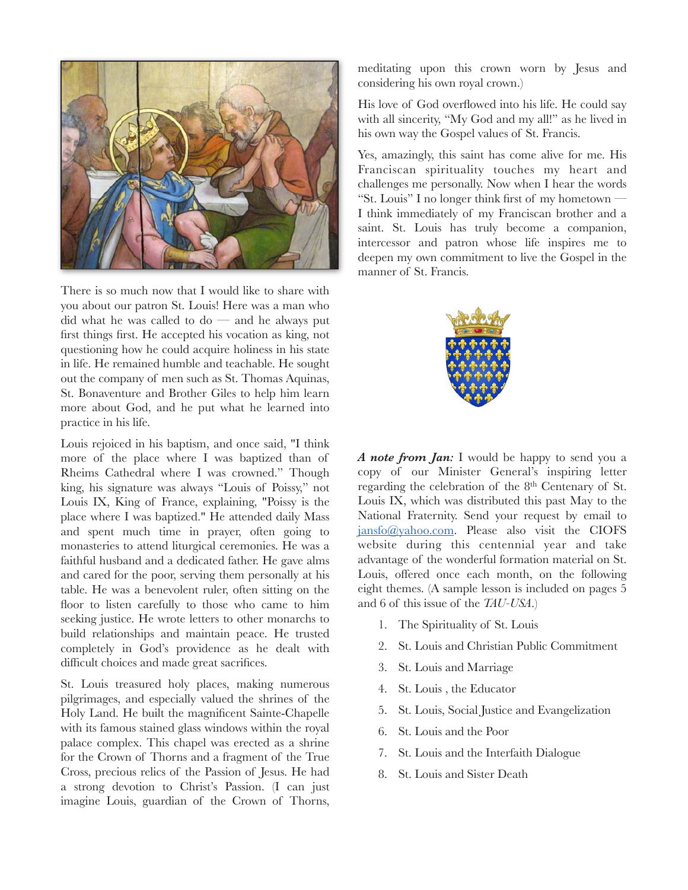

There is so much now that I would like to share with you about our patron St. Louis! Here was a man who did what he was called to do  $-$  and he always put first things first. He accepted his vocation as king, not questioning how he could acquire holiness in his state in life. He remained humble and teachable. He sought out the company of men such as St. Thomas Aquinas, St. Bonaventure and Brother Giles to help him learn more about God, and he put what he learned into practice in his life.

Louis rejoiced in his baptism, and once said, "I think more of the place where I was baptized than of Rheims Cathedral where I was crowned." Though king, his signature was always "Louis of Poissy," not Louis IX, King of France, explaining, "Poissy is the place where I was baptized." He attended daily Mass and spent much time in prayer, often going to monasteries to attend liturgical ceremonies. He was a faithful husband and a dedicated father. He gave alms and cared for the poor, serving them personally at his table. He was a benevolent ruler, often sitting on the floor to listen carefully to those who came to him seeking justice. He wrote letters to other monarchs to build relationships and maintain peace. He trusted completely in God's providence as he dealt with difficult choices and made great sacrifices.

St. Louis treasured holy places, making numerous pilgrimages, and especially valued the shrines of the Holy Land. He built the magnificent Sainte-Chapelle with its famous stained glass windows within the royal palace complex. This chapel was erected as a shrine for the Crown of Thorns and a fragment of the True Cross, precious relics of the Passion of Jesus. He had a strong devotion to Christ's Passion. (I can just imagine Louis, guardian of the Crown of Thorns, meditating upon this crown worn by Jesus and considering his own royal crown.)

His love of God overflowed into his life. He could say with all sincerity, "My God and my all!" as he lived in his own way the Gospel values of St. Francis.

Yes, amazingly, this saint has come alive for me. His Franciscan spirituality touches my heart and challenges me personally. Now when I hear the words "St. Louis" I no longer think first of my hometown — I think immediately of my Franciscan brother and a saint. St. Louis has truly become a companion, intercessor and patron whose life inspires me to deepen my own commitment to live the Gospel in the manner of St. Francis.



*A note from Jan:* I would be happy to send you a copy of our Minister General's inspiring letter regarding the celebration of the 8th Centenary of St. Louis IX, which was distributed this past May to the National Fraternity. Send your request by email to [jansfo@yahoo.com](mailto:jansfo@yahoo.com). Please also visit the CIOFS website during this centennial year and take advantage of the wonderful formation material on St. Louis, offered once each month, on the following eight themes. (A sample lesson is included on pages 5 and 6 of this issue of the *TAU-USA*.)

- 1. The Spirituality of St. Louis
- 2. St. Louis and Christian Public Commitment
- 3. St. Louis and Marriage
- 4. St. Louis , the Educator
- 5. St. Louis, Social Justice and Evangelization
- 6. St. Louis and the Poor
- 7. St. Louis and the Interfaith Dialogue
- 8. St. Louis and Sister Death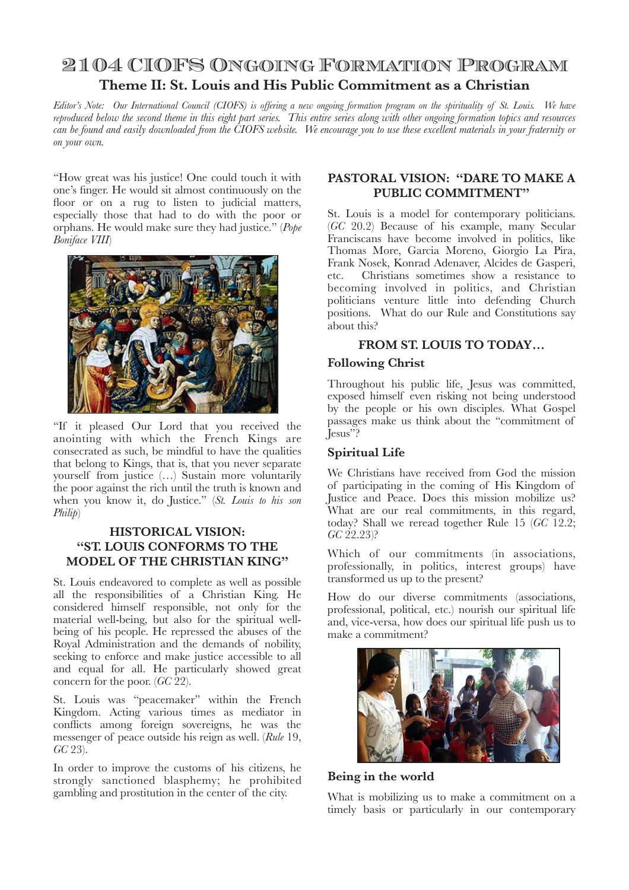## 2104 CIOFS Ongoing Formation Program **Theme II: St. Louis and His Public Commitment as a Christian**

*Editor's Note: Our International Council (CIOFS) is offering a new ongoing formation program on the spirituality of St. Louis. We have reproduced below the second theme in this eight part series. This entire series along with other ongoing formation topics and resources can be found and easily downloaded from the CIOFS website. We encourage you to use these excellent materials in your fraternity or on your own.*

"How great was his justice! One could touch it with one's finger. He would sit almost continuously on the floor or on a rug to listen to judicial matters, especially those that had to do with the poor or orphans. He would make sure they had justice." (*Pope Boniface VIII*)



"If it pleased Our Lord that you received the anointing with which the French Kings are consecrated as such, be mindful to have the qualities that belong to Kings, that is, that you never separate yourself from justice (…) Sustain more voluntarily the poor against the rich until the truth is known and when you know it, do Justice." (*St. Louis to his son Philip*)

## **HISTORICAL VISION: "ST. LOUIS CONFORMS TO THE MODEL OF THE CHRISTIAN KING"**

St. Louis endeavored to complete as well as possible all the responsibilities of a Christian King. He considered himself responsible, not only for the material well-being, but also for the spiritual wellbeing of his people. He repressed the abuses of the Royal Administration and the demands of nobility, seeking to enforce and make justice accessible to all and equal for all. He particularly showed great concern for the poor. (*GC* 22).

St. Louis was "peacemaker" within the French Kingdom. Acting various times as mediator in conflicts among foreign sovereigns, he was the messenger of peace outside his reign as well. (*Rule* 19, *GC* 23).

In order to improve the customs of his citizens, he strongly sanctioned blasphemy; he prohibited gambling and prostitution in the center of the city.

### **PASTORAL VISION: "DARE TO MAKE A PUBLIC COMMITMENT"**

St. Louis is a model for contemporary politicians. (*GC* 20.2) Because of his example, many Secular Franciscans have become involved in politics, like Thomas More, Garcia Moreno, Giorgio La Pira, Frank Nosek, Konrad Adenaver, Alcides de Gasperi, etc. Christians sometimes show a resistance to becoming involved in politics, and Christian politicians venture little into defending Church positions. What do our Rule and Constitutions say about this?

## **FROM ST. LOUIS TO TODAY…**

### **Following Christ**

Throughout his public life, Jesus was committed, exposed himself even risking not being understood by the people or his own disciples. What Gospel passages make us think about the "commitment of Jesus"?

## **Spiritual Life**

We Christians have received from God the mission of participating in the coming of His Kingdom of Justice and Peace. Does this mission mobilize us? What are our real commitments, in this regard, today? Shall we reread together Rule 15 (*GC* 12.2; *GC* 22.23)?

Which of our commitments (in associations, professionally, in politics, interest groups) have transformed us up to the present?

How do our diverse commitments (associations, professional, political, etc.) nourish our spiritual life and, vice-versa, how does our spiritual life push us to make a commitment?



### **Being in the world**

What is mobilizing us to make a commitment on a timely basis or particularly in our contemporary